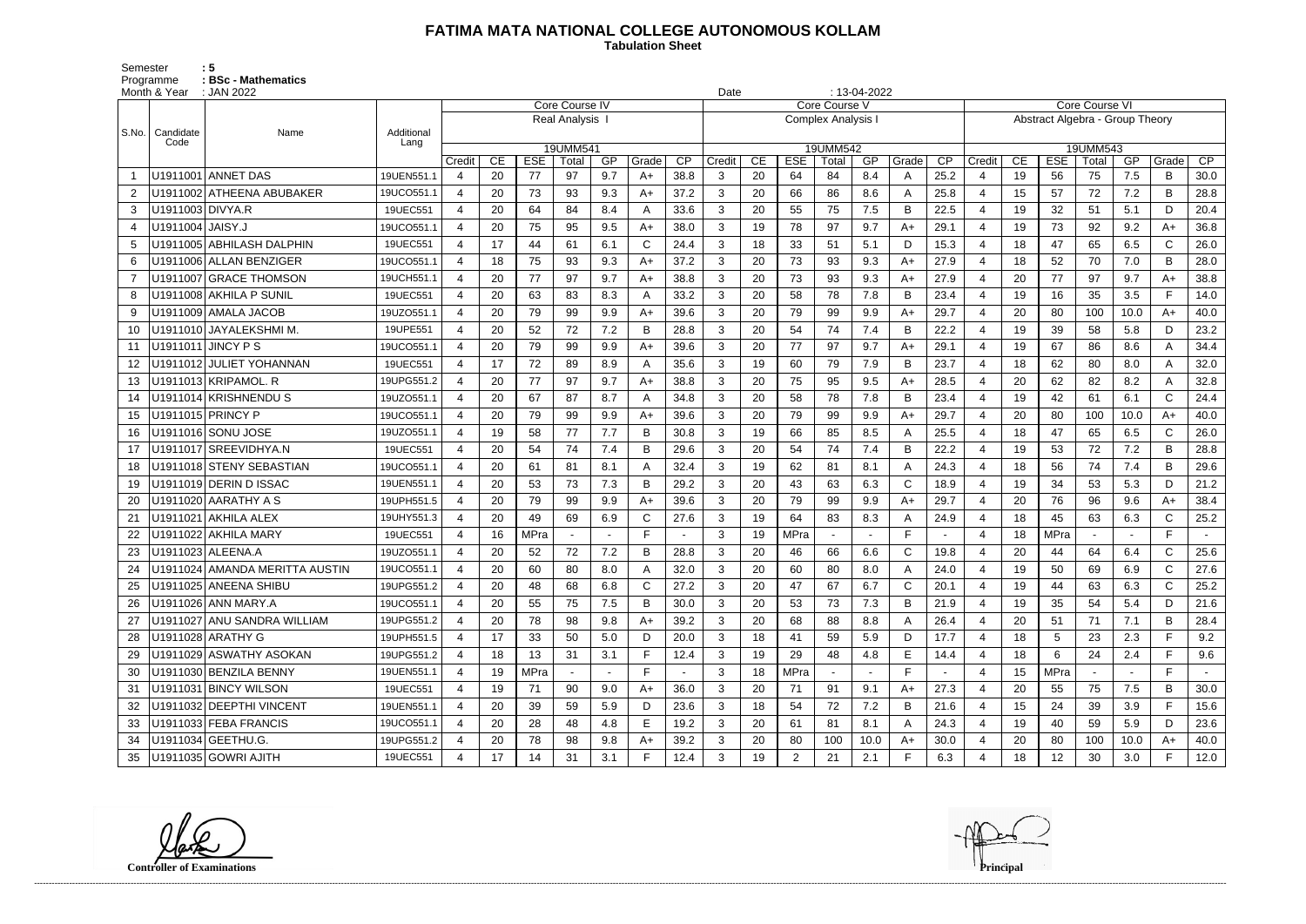## **FATIMA MATA NATIONAL COLLEGE AUTONOMOUS KOLLAM**

Semester : 5 Programme **: BSc - Mathematics**  **Tabulation Sheet** 

|       | Month & Year     | $: 13-04-2022$<br>: JAN 2022<br>Date |            |                       |    |             |                |        |       |      |                |    |             |                           |      |              |                 |                                 |    |            |       |      |              |                 |
|-------|------------------|--------------------------------------|------------|-----------------------|----|-------------|----------------|--------|-------|------|----------------|----|-------------|---------------------------|------|--------------|-----------------|---------------------------------|----|------------|-------|------|--------------|-----------------|
|       |                  |                                      |            |                       |    |             | Core Course IV |        |       |      |                |    |             | Core Course V             |      |              |                 | <b>Core Course VI</b>           |    |            |       |      |              |                 |
| S.No. | Candidate        | Name                                 | Additional |                       |    |             | Real Analysis  |        |       |      |                |    |             | <b>Complex Analysis I</b> |      |              |                 | Abstract Algebra - Group Theory |    |            |       |      |              |                 |
|       | Code             |                                      | Lang       |                       |    |             | 19UMM541       |        |       |      |                |    |             | 19UMM542                  |      |              |                 | 19UMM543                        |    |            |       |      |              |                 |
|       |                  |                                      |            | Credit                | CE | <b>ESE</b>  | Total          | GP     | Grade | CP   | Credit         | CE | <b>ESE</b>  | Total                     | GP   | Grade        | $\overline{CP}$ | Credit                          | CE | <b>ESE</b> | Total | GP   | Grade        | $\overline{CP}$ |
|       |                  | U1911001 ANNET DAS                   | 19UEN551.1 | $\overline{4}$        | 20 | 77          | 97             | 9.7    | $A+$  | 38.8 | 3              | 20 | 64          | 84                        | 8.4  | A            | 25.2            | $\overline{4}$                  | 19 | 56         | 75    | 7.5  | B            | 30.0            |
|       |                  | U1911002 ATHEENA ABUBAKER            | 19UCO551.1 | 4                     | 20 | 73          | 93             | 9.3    | A+    | 37.2 | 3              | 20 | 66          | 86                        | 8.6  | A            | 25.8            | $\overline{4}$                  | 15 | 57         | 72    | 7.2  | B            | 28.8            |
| 3     | U1911003 DIVYA.R |                                      | 19UEC551   | $\overline{4}$        | 20 | 64          | 84             | 8.4    | A     | 33.6 | 3              | 20 | 55          | 75                        | 7.5  | B            | 22.5            | $\overline{4}$                  | 19 | 32         | 51    | 5.1  | D            | 20.4            |
|       | U1911004 JAISY.J |                                      | 19UCO551.1 | $\boldsymbol{\Delta}$ | 20 | 75          | 95             | 9.5    | $A+$  | 38.0 | 3              | 19 | 78          | 97                        | 9.7  | $A+$         | 29.1            | 4                               | 19 | 73         | 92    | 9.2  | A+           | 36.8            |
| 5     |                  | U1911005 ABHILASH DALPHIN            | 19UEC551   | 4                     | 17 | 44          | 61             | 6.1    | C     | 24.4 | 3              | 18 | 33          | 51                        | 5.1  | D            | 15.3            | $\overline{4}$                  | 18 | 47         | 65    | 6.5  | $\mathsf{C}$ | 26.0            |
| 6     |                  | U1911006 ALLAN BENZIGER              | 19UCO551.1 | 4                     | 18 | 75          | 93             | 9.3    | $A+$  | 37.2 | 3              | 20 | 73          | 93                        | 9.3  | $A+$         | 27.9            | 4                               | 18 | 52         | 70    | 7.0  | B            | 28.0            |
|       |                  | U1911007 GRACE THOMSON               | 19UCH551.1 | 4                     | 20 | 77          | 97             | 9.7    | $A+$  | 38.8 | 3              | 20 | 73          | 93                        | 9.3  | $A+$         | 27.9            | $\overline{4}$                  | 20 | 77         | 97    | 9.7  | A+           | 38.8            |
| 8     |                  | U1911008 AKHILA P SUNIL              | 19UEC551   | 4                     | 20 | 63          | 83             | 8.3    | A     | 33.2 | $\mathbf{3}$   | 20 | 58          | 78                        | 7.8  | B            | 23.4            | $\overline{4}$                  | 19 | 16         | 35    | 3.5  | F.           | 14.0            |
| 9     |                  | U1911009 AMALA JACOB                 | 19UZO551.1 | $\boldsymbol{\Delta}$ | 20 | 79          | 99             | 9.9    | $A+$  | 39.6 | 3              | 20 | 79          | 99                        | 9.9  | $A+$         | 29.7            | $\overline{4}$                  | 20 | 80         | 100   | 10.0 | A+           | 40.0            |
| 10    |                  | U1911010 JAYALEKSHMI M.              | 19UPE551   | $\overline{4}$        | 20 | 52          | 72             | 7.2    | B     | 28.8 | 3              | 20 | 54          | 74                        | 7.4  | B            | 22.2            | 4                               | 19 | 39         | 58    | 5.8  | D            | 23.2            |
| 11    |                  | U1911011 JINCY P S                   | 19UCO551.1 | 4                     | 20 | 79          | 99             | 9.9    | $A+$  | 39.6 | 3              | 20 | 77          | 97                        | 9.7  | $A+$         | 29.1            | $\overline{4}$                  | 19 | 67         | 86    | 8.6  | A            | 34.4            |
| 12    |                  | U1911012 JULIET YOHANNAN             | 19UEC551   | 4                     | 17 | 72          | 89             | 8.9    |       | 35.6 | 3              | 19 | 60          | 79                        | 7.9  | B            | 23.7            | $\overline{4}$                  | 18 | 62         | 80    | 8.0  | A            | 32.0            |
| 13    |                  | U1911013 KRIPAMOL. R                 | 19UPG551.2 | 4                     | 20 | 77          | 97             | 9.7    | $A+$  | 38.8 | $\mathbf{3}$   | 20 | 75          | 95                        | 9.5  | $A+$         | 28.5            | 4                               | 20 | 62         | 82    | 8.2  | A            | 32.8            |
| 14    |                  | U1911014 KRISHNENDUS                 | 19UZO551.1 | 4                     | 20 | 67          | 87             | 8.7    | Α     | 34.8 | 3              | 20 | 58          | 78                        | 7.8  | B            | 23.4            | $\overline{4}$                  | 19 | 42         | 61    | 6.1  | $\mathsf{C}$ | 24.4            |
| 15    |                  | U1911015 PRINCY P                    | 19UCO551.1 | 4                     | 20 | 79          | 99             | 9.9    | $A+$  | 39.6 | 3              | 20 | 79          | 99                        | 9.9  | $A+$         | 29.7            | $\overline{4}$                  | 20 | 80         | 100   | 10.0 | A+           | 40.0            |
| 16    |                  | U1911016 SONU JOSE                   | 19UZO551.1 | 4                     | 19 | 58          | 77             | 7.7    | B     | 30.8 | 3              | 19 | 66          | 85                        | 8.5  | A            | 25.5            | $\overline{4}$                  | 18 | 47         | 65    | 6.5  | $\mathsf{C}$ | 26.0            |
| 17    |                  | U1911017 SREEVIDHYA.N                | 19UEC551   | 4                     | 20 | 54          | 74             | 7.4    | B     | 29.6 | 3              | 20 | 54          | 74                        | 7.4  | B            | 22.2            | $\overline{4}$                  | 19 | 53         | 72    | 7.2  | B            | 28.8            |
| 18    |                  | U1911018 STENY SEBASTIAN             | 19UCO551.1 | $\boldsymbol{\Delta}$ | 20 | 61          | 81             | 8.1    | A     | 32.4 | 3              | 19 | 62          | 81                        | 8.1  | A            | 24.3            | $\overline{4}$                  | 18 | 56         | 74    | 7.4  | B            | 29.6            |
| 19    |                  | U1911019 DERIN D ISSAC               | 19UEN551.1 | $\boldsymbol{\Delta}$ | 20 | 53          | 73             | 7.3    | B     | 29.2 | 3              | 20 | 43          | 63                        | 6.3  | $\mathsf{C}$ | 18.9            | 4                               | 19 | 34         | 53    | 5.3  | D            | 21.2            |
| 20    |                  | U1911020 AARATHY A S                 | 19UPH551.5 | 4                     | 20 | 79          | 99             | 9.9    | $A+$  | 39.6 | 3              | 20 | 79          | 99                        | 9.9  | $A+$         | 29.7            | 4                               | 20 | 76         | 96    | 9.6  | A+           | 38.4            |
|       |                  | U1911021 AKHILA ALEX                 | 19UHY551.3 | 4                     | 20 | 49          | 69             | 6.9    | C     | 27.6 | 3              | 19 | 64          | 83                        | 8.3  | A            | 24.9            | $\overline{4}$                  | 18 | 45         | 63    | 6.3  | $\mathsf{C}$ | 25.2            |
|       |                  | U1911022 AKHILA MARY                 | 19UEC551   | 4                     | 16 | <b>MPra</b> |                |        |       |      | 3              | 19 | <b>MPra</b> |                           |      | F            |                 | $\overline{4}$                  | 18 | MPra       |       |      | F.           |                 |
|       |                  | U1911023 ALEENA.A                    | 19UZO551.1 | 4                     | 20 | 52          | 72             | 7.2    | B     | 28.8 | 3              | 20 | 46          | 66                        | 6.6  | $\mathsf{C}$ | 19.8            | 4                               | 20 | 44         | 64    | 6.4  | $\mathsf{C}$ | 25.6            |
| 24    |                  | U1911024 AMANDA MERITTA AUSTIN       | 19UCO551.1 |                       | 20 | 60          | 80             | 8.0    |       | 32.0 | 3              | 20 | 60          | 80                        | 8.0  | A            | 24.0            | $\overline{4}$                  | 19 | 50         | 69    | 6.9  | $\mathsf{C}$ | 27.6            |
|       |                  | U1911025 ANEENA SHIBU                | 19UPG551.2 | 4                     | 20 | 48          | 68             | 6.8    | C     | 27.2 | 3              | 20 | 47          | 67                        | 6.7  | C            | 20.1            | 4                               | 19 | 44         | 63    | 6.3  | C            | 25.2            |
| 26    |                  | U1911026 ANN MARY.A                  | 19UCO551.1 | 4                     | 20 | 55          | 75             | 7.5    | B     | 30.0 | 3              | 20 | 53          | 73                        | 7.3  | B            | 21.9            | 4                               | 19 | 35         | 54    | 5.4  | D            | 21.6            |
| 27    |                  | U1911027 ANU SANDRA WILLIAM          | 19UPG551.2 | $\overline{4}$        | 20 | 78          | 98             | 9.8    | A+    | 39.2 | 3              | 20 | 68          | 88                        | 8.8  | A            | 26.4            | 4                               | 20 | 51         | 71    | 7.1  | В            | 28.4            |
| 28    |                  | U1911028 ARATHY G                    | 19UPH551.5 | $\overline{4}$        | 17 | 33          | 50             | 5.0    | D     | 20.0 | 3 <sup>1</sup> | 18 | 41          | 59                        | 5.9  | D            | 17.7            | $\overline{4}$                  | 18 | 5          | 23    | 2.3  | F.           | 9.2             |
| 29    |                  | U1911029 ASWATHY ASOKAN              | 19UPG551.2 | $\overline{4}$        | 18 | 13          | 31             | 3.1    |       | 12.4 | $\mathbf{3}$   | 19 | 29          | 48                        | 4.8  | E            | 14.4            | $\overline{4}$                  | 18 | 6          | 24    | 2.4  | F.           | 9.6             |
| -30   |                  | U1911030 BENZILA BENNY               | 19UEN551.1 | 4                     | 19 | <b>MPra</b> |                | $\sim$ | F.    |      | $\mathbf{3}$   | 18 | MPra        |                           |      | F.           |                 | 4                               | 15 | MPra       |       |      | F            |                 |
| 31    |                  | U1911031 BINCY WILSON                | 19UEC551   | 4                     | 19 | 71          | 90             | 9.0    | $A+$  | 36.0 | 3              | 20 | 71          | 91                        | 9.1  | $A+$         | 27.3            | $\overline{4}$                  | 20 | 55         | 75    | 7.5  | B            | 30.0            |
| 32    |                  | U1911032 DEEPTHI VINCENT             | 19UEN551.1 | 4                     | 20 | 39          | 59             | 5.9    | D     | 23.6 | $\mathbf{3}$   | 18 | 54          | 72                        | 7.2  | B            | 21.6            | 4                               | 15 | 24         | 39    | 3.9  | F.           | 15.6            |
| 33    |                  | U1911033 FEBA FRANCIS                | 19UCO551.1 | 4                     | 20 | 28          | 48             | 4.8    | E.    | 19.2 | 3              | 20 | 61          | 81                        | 8.1  | A            | 24.3            | 4                               | 19 | 40         | 59    | 5.9  | D            | 23.6            |
| 34    |                  | U1911034 GEETHU.G.                   | 19UPG551.2 |                       | 20 | 78          | 98             | 9.8    | A+    | 39.2 | 3              | 20 | 80          | 100                       | 10.0 | $A+$         | 30.0            | 4                               | 20 | 80         | 100   | 10.0 | $A+$         | 40.0            |
| 35    |                  | U1911035 GOWRI AJITH                 | 19UEC551   | 4                     | 17 | 14          | 31             | 3.1    | F.    | 12.4 | 3 <sup>1</sup> | 19 | $2^{\circ}$ | 21                        | 2.1  | F.           | 6.3             | 4                               | 18 | 12         | 30    | 3.0  | F.           | 12.0            |

**Controller of Examinations Principal**

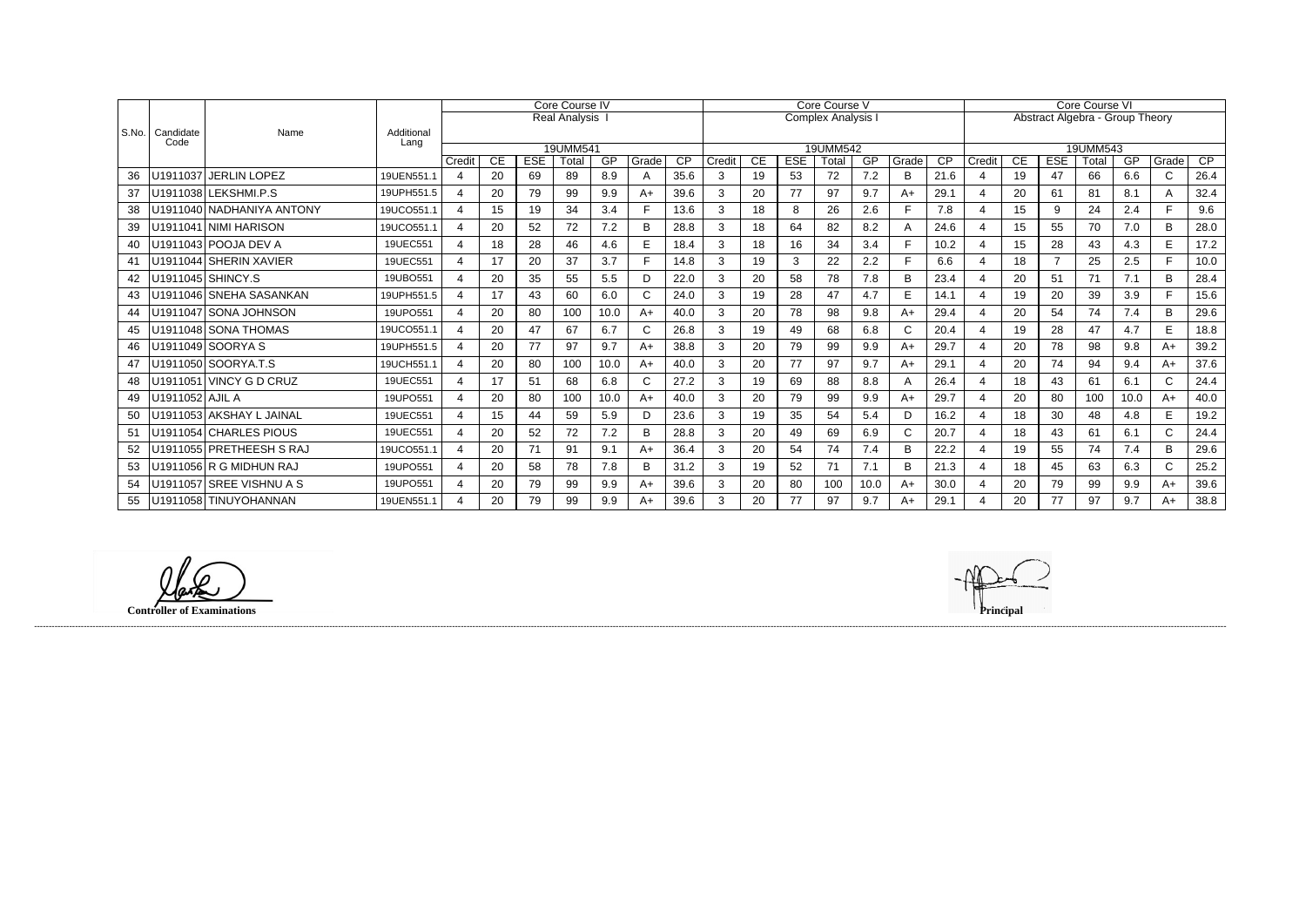|       |                   |                           |                    | Core Course IV          |     |            |               |      |                |                 | Core Course V    |    |            |          |           |              |                 | Core Course VI        |                                 |                |       |      |              |      |  |
|-------|-------------------|---------------------------|--------------------|-------------------------|-----|------------|---------------|------|----------------|-----------------|------------------|----|------------|----------|-----------|--------------|-----------------|-----------------------|---------------------------------|----------------|-------|------|--------------|------|--|
|       |                   |                           |                    |                         |     |            | Real Analysis |      |                |                 | Complex Analysis |    |            |          |           |              |                 |                       | Abstract Algebra - Group Theory |                |       |      |              |      |  |
| S.No. | Candidate<br>Code | Name                      | Additional<br>Lang |                         |     |            |               |      |                |                 |                  |    |            |          |           |              |                 |                       |                                 |                |       |      |              |      |  |
|       |                   |                           |                    |                         |     |            | 19UMM541      |      |                |                 |                  |    |            | 19UMM542 |           |              |                 | 19UMM543              |                                 |                |       |      |              |      |  |
|       |                   |                           |                    | Credit                  | CE. | <b>ESE</b> | Total         | GP   | Grade          | $\overline{CP}$ | Credit           | CE | <b>ESE</b> | Total    | <b>GP</b> | Grade        | $\overline{CP}$ | Credit                | <b>CE</b>                       | <b>ESE</b>     | Total | GP   | Grade        | CP   |  |
| 36    |                   | U1911037 JERLIN LOPEZ     | 19UEN551.1         | 4                       | 20  | 69         | 89            | 8.9  | Α              | 35.6            | 3                | 19 | 53         | 72       | 7.2       | B            | 21.6            |                       | 19                              | 47             | 66    | 6.6  | $\mathsf{C}$ | 26.4 |  |
| 37    |                   | U1911038 LEKSHMI.P.S      | 19UPH551.5         | 4                       | 20  | 79         | 99            | 9.9  | A+             | 39.6            | 3                | 20 | 77         | 97       | 9.7       | $A+$         | 29.1            |                       | 20                              | 61             | 81    | 8.1  |              | 32.4 |  |
| 38    |                   | U1911040 NADHANIYA ANTONY | 19UCO551.1         | $\overline{4}$          | 15  | 19         | 34            | 3.4  |                | 13.6            | 3                | 18 | 8          | 26       | 2.6       | F            | 7.8             | 4                     | 15                              | 9              | 24    | 2.4  |              | 9.6  |  |
| 39    |                   | U1911041 NIMI HARISON     | 19UCO551.1         | 4                       | 20  | 52         | 72            | 7.2  | B              | 28.8            |                  | 18 | 64         | 82       | 8.2       | A            | 24.6            |                       | 15                              | 55             | 70    | 7.0  | B.           | 28.0 |  |
| 40    |                   | U1911043 POOJA DEV A      | 19UEC551           | 4                       | 18  | 28         | 46            | 4.6  | E              | 18.4            | 3                | 18 | 16         | 34       | 3.4       | F            | 10.2            | $\overline{4}$        | 15                              | 28             | 43    | 4.3  | E            | 17.2 |  |
| 41    |                   | U1911044 SHERIN XAVIER    | 19UEC551           | 4                       | 17  | 20         | 37            | 3.7  | $\blacksquare$ | 14.8            | 3                | 19 | 3          | 22       | 2.2       | E            | 6.6             |                       | 18                              | $\overline{7}$ | 25    | 2.5  | E.           | 10.0 |  |
| 42    |                   | U1911045 SHINCY.S         | 19UBO551           | 4                       | 20  | 35         | 55            | 5.5  | D              | 22.0            | 3                | 20 | 58         | 78       | 7.8       | B            | 23.4            |                       | 20                              | 51             | 71    | 7.1  | B            | 28.4 |  |
|       |                   | U1911046 SNEHA SASANKAN   | 19UPH551.5         | 4                       | 17  | 43         | 60            | 6.0  | C              | 24.0            | 3                | 19 | 28         | 47       | 4.7       | E            | 14.1            | $\boldsymbol{\Delta}$ | 19                              | 20             | 39    | 3.9  | E.           | 15.6 |  |
| 44    |                   | U1911047 SONA JOHNSON     | 19UPO551           | 4                       | 20  | 80         | 100           | 10.0 | A+             | 40.0            |                  | 20 | 78         | 98       | 9.8       | $A+$         | 29.4            |                       | 20                              | 54             | 74    | 7.4  | B            | 29.6 |  |
| 45    |                   | U1911048 SONA THOMAS      | 19UCO551.1         | $\overline{4}$          | 20  | 47         | 67            | 6.7  |                | 26.8            | 3                | 19 | 49         | 68       | 6.8       | $\mathsf{C}$ | 20.4            |                       | 19                              | 28             | 47    | 4.7  | E.           | 18.8 |  |
| 46    |                   | U1911049 SOORYA S         | 19UPH551.5         | 4                       | 20  | 77         | 97            | 9.7  | $A+$           | 38.8            | 3                | 20 | 79         | 99       | 9.9       | $A+$         | 29.7            |                       | 20                              | 78             | 98    | 9.8  | A+           | 39.2 |  |
| 47    |                   | U1911050 SOORYA.T.S       | 19UCH551.1         | $\overline{4}$          | 20  | 80         | 100           | 10.0 | A+             | 40.0            | 3                | 20 | 77         | 97       | 9.7       | $A+$         | 29.1            | $\overline{4}$        | 20                              | 74             | 94    | 9.4  | A+           | 37.6 |  |
| 48    |                   | U1911051 VINCY G D CRUZ   | 19UEC551           | 4                       | 17  | 51         | 68            | 6.8  |                | 27.2            | 3                | 19 | 69         | 88       | 8.8       | A            | 26.4            |                       | 18                              | 43             | 61    | 6.1  | $\mathsf{C}$ | 24.4 |  |
| 49    | U1911052 AJIL A   |                           | 19UPO551           | $\mathbf 4$             | 20  | 80         | 100           | 10.0 | $A+$           | 40.0            | 3                | 20 | 79         | 99       | 9.9       | $A+$         | 29.7            |                       | 20                              | 80             | 100   | 10.0 | $A+$         | 40.0 |  |
| 50    |                   | U1911053 AKSHAY L JAINAL  | 19UEC551           | $\overline{\mathbf{A}}$ | 15  | 44         | 59            | 5.9  | D.             | 23.6            | 3                | 19 | 35         | 54       | 5.4       | D            | 16.2            |                       | 18                              | 30             | 48    | 4.8  | E.           | 19.2 |  |
| 51    |                   | U1911054 CHARLES PIOUS    | 19UEC551           | 4                       | 20  | 52         | 72            | 7.2  | B              | 28.8            | 3                | 20 | 49         | 69       | 6.9       | $\mathsf C$  | 20.7            |                       | 18                              | 43             | 61    | 6.1  | C            | 24.4 |  |
| 52    |                   | U1911055 PRETHEESH S RAJ  | 19UCO551.1         | $\overline{4}$          | 20  | 71         | 91            | 9.1  | $A+$           | 36.4            | 3                | 20 | 54         | 74       | 7.4       | B            | 22.2            | $\overline{4}$        | 19                              | 55             | 74    | 7.4  | B            | 29.6 |  |
| 53    |                   | U1911056 R G MIDHUN RAJ   | 19UPO551           | 4                       | 20  | 58         | 78            | 7.8  | B              | 31.2            | 3                | 19 | 52         | 71       | 7.1       | B            | 21.3            | $\boldsymbol{\Delta}$ | 18                              | 45             | 63    | 6.3  | $\mathsf{C}$ | 25.2 |  |
| 54    |                   | U1911057 SREE VISHNU A S  | 19UPO551           | 4                       | 20  | 79         | 99            | 9.9  | A+             | 39.6            |                  | 20 | 80         | 100      | 10.0      | $A+$         | 30.0            |                       | 20                              | 79             | 99    | 9.9  | $A+$         | 39.6 |  |
| 55    |                   | U1911058 TINUYOHANNAN     | 19UEN551.1         | 4                       | 20  | 79         | 99            | 9.9  | $A+$           | 39.6            | 3                | 20 | 77         | 97       | 9.7       | $A+$         | 29.1            |                       | 20                              | 77             | 97    | 9.7  | A+           | 38.8 |  |

**Controller of Examinations Principal**

lark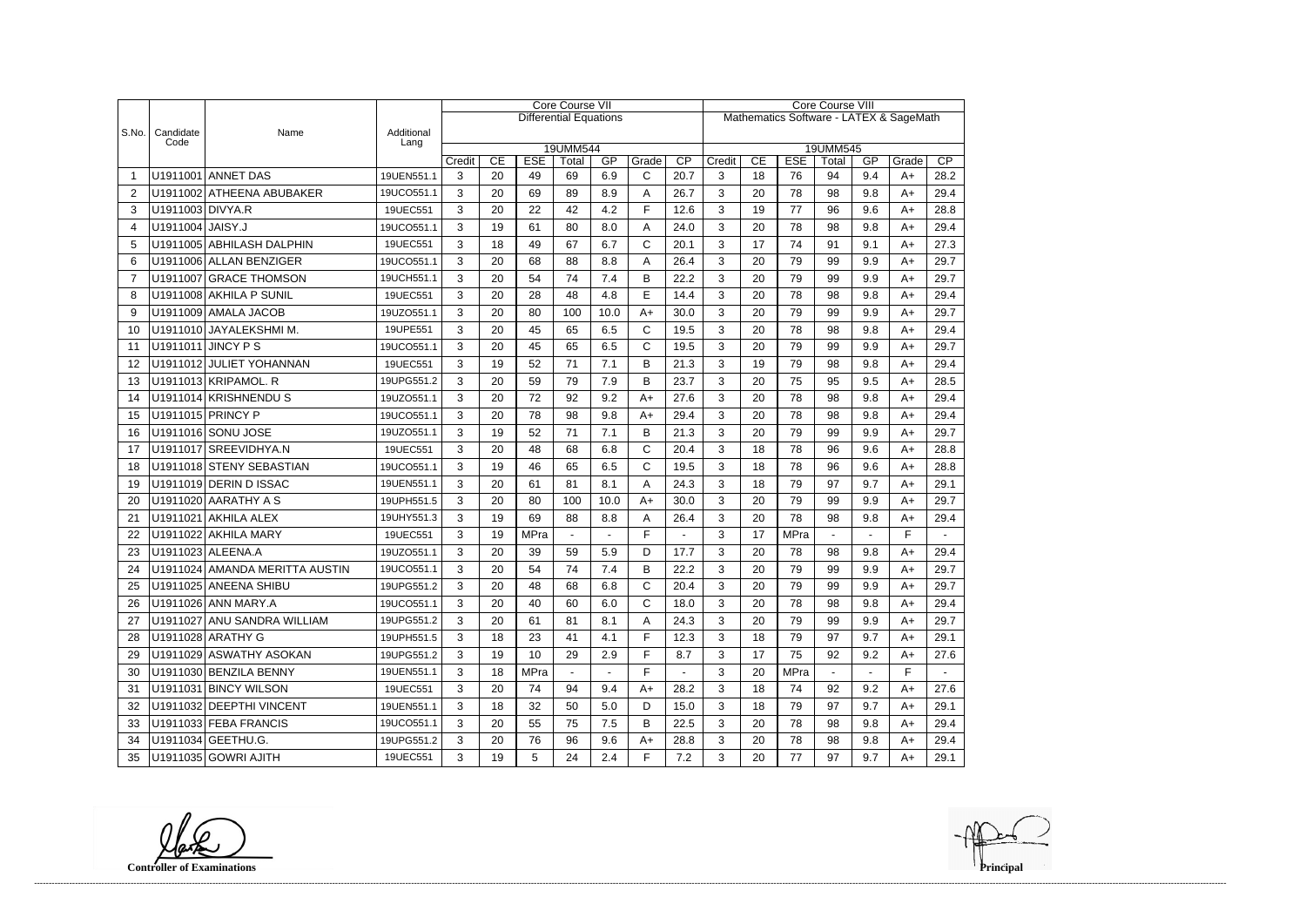|                |                   |                                |                    | <b>Core Course VII</b> |                        |                  |                               |                |                       |                                         |             | <b>Core Course VIII</b> |             |                |                |               |                |  |  |
|----------------|-------------------|--------------------------------|--------------------|------------------------|------------------------|------------------|-------------------------------|----------------|-----------------------|-----------------------------------------|-------------|-------------------------|-------------|----------------|----------------|---------------|----------------|--|--|
|                |                   |                                |                    |                        |                        |                  | <b>Differential Equations</b> |                |                       | Mathematics Software - LATEX & SageMath |             |                         |             |                |                |               |                |  |  |
| S.No.          | Candidate<br>Code | Name                           | Additional<br>Lang |                        |                        |                  |                               |                |                       |                                         |             |                         |             |                |                |               |                |  |  |
|                |                   |                                |                    |                        | 19UMM544<br><b>ESE</b> |                  |                               |                |                       |                                         |             |                         |             | 19UMM545       |                |               | CP             |  |  |
| -1             |                   | U1911001 ANNET DAS             | 19UEN551.1         | Credit<br>3            | CE<br>20               | <b>ESE</b><br>49 | Total<br>69                   | GP<br>6.9      | Grade<br>$\mathsf{C}$ | $\overline{CP}$<br>20.7                 | Credit<br>3 | CE<br>18                | 76          | Total<br>94    | GP<br>9.4      | Grade<br>$A+$ | 28.2           |  |  |
| $\overline{2}$ |                   | U1911002 ATHEENA ABUBAKER      | 19UCO551.1         | 3                      | 20                     | 69               | 89                            | 8.9            | A                     | 26.7                                    | 3           | 20                      | 78          | 98             | 9.8            | $A+$          | 29.4           |  |  |
| 3              | U1911003 DIVYA.R  |                                | 19UEC551           | 3                      | 20                     | 22               | 42                            | 4.2            | E                     | 12.6                                    | 3           | 19                      | 77          | 96             | 9.6            | $A+$          | 28.8           |  |  |
| $\overline{4}$ | U1911004 JAISY.J  |                                | 19UCO551.1         | 3                      | 19                     | 61               | 80                            | 8.0            | A                     | 24.0                                    | 3           | 20                      | 78          | 98             | 9.8            | $A+$          | 29.4           |  |  |
| 5              |                   | U1911005 ABHILASH DALPHIN      | 19UEC551           | 3                      | 18                     | 49               | 67                            | 6.7            | $\mathsf{C}$          | 20.1                                    | 3           | 17                      | 74          | 91             | 9.1            | $A+$          | 27.3           |  |  |
| 6              |                   | U1911006 ALLAN BENZIGER        | 19UCO551.1         | 3                      | 20                     | 68               | 88                            | 8.8            | A                     | 26.4                                    | 3           | 20                      | 79          | 99             | 9.9            | $A+$          | 29.7           |  |  |
| $\overline{7}$ |                   | U1911007 GRACE THOMSON         | 19UCH551.1         | 3                      | 20                     | 54               | 74                            | 7.4            | B                     | 22.2                                    | 3           | 20                      | 79          | 99             | 9.9            | $A+$          | 29.7           |  |  |
| 8              |                   | U1911008 AKHILA P SUNIL        |                    |                        | 20                     | 28               | 48                            | 4.8            | E                     | 14.4                                    | 3           | 20                      | 78          | 98             | 9.8            | $A+$          | 29.4           |  |  |
|                |                   |                                | 19UEC551           | 3                      |                        |                  |                               |                |                       |                                         |             |                         |             |                |                |               |                |  |  |
| 9              |                   | U1911009 AMALA JACOB           | 19UZO551.1         | 3                      | 20                     | 80               | 100                           | 10.0           | $A+$                  | 30.0                                    | 3           | 20                      | 79          | 99             | 9.9            | $A+$          | 29.7           |  |  |
| 10             |                   | U1911010 JAYALEKSHMI M.        | 19UPE551           | 3                      | 20                     | 45               | 65                            | 6.5            | $\mathsf C$           | 19.5                                    | 3           | 20                      | 78          | 98             | 9.8            | $A+$          | 29.4           |  |  |
| 11             |                   | U1911011 JINCY P S             | 19UCO551.1         | 3                      | 20                     | 45               | 65                            | 6.5            | $\mathsf{C}$          | 19.5                                    | 3           | 20                      | 79          | 99             | 9.9            | $A+$          | 29.7           |  |  |
| 12             |                   | U1911012 JULIET YOHANNAN       | 19UEC551           | 3                      | 19                     | 52               | 71                            | 7.1            | B                     | 21.3                                    | 3           | 19                      | 79          | 98             | 9.8            | $A+$          | 29.4           |  |  |
| 13             |                   | U1911013 KRIPAMOL. R           | 19UPG551.2         | 3                      | 20                     | 59               | 79                            | 7.9            | B                     | 23.7                                    | 3           | 20                      | 75          | 95             | 9.5            | $A+$          | 28.5           |  |  |
| 14             |                   | U1911014 KRISHNENDUS           | 19UZO551.1         | 3                      | 20                     | 72               | 92                            | 9.2            | $A+$                  | 27.6                                    | 3           | 20                      | 78          | 98             | 9.8            | $A+$          | 29.4           |  |  |
| 15             |                   | U1911015 PRINCY P              | 19UCO551.1         | 3                      | 20                     | 78               | 98                            | 9.8            | $A+$                  | 29.4                                    | 3           | 20                      | 78          | 98             | 9.8            | $A+$          | 29.4           |  |  |
| 16             |                   | U1911016 SONU JOSE             | 19UZO551.1         | 3                      | 19                     | 52               | 71                            | 7.1            | B                     | 21.3                                    | 3           | 20                      | 79          | 99             | 9.9            | $A+$          | 29.7           |  |  |
| 17             |                   | U1911017 SREEVIDHYA.N          | 19UEC551           | 3                      | 20                     | 48               | 68                            | 6.8            | $\mathsf{C}$          | 20.4                                    | 3           | 18                      | 78          | 96             | 9.6            | $A+$          | 28.8           |  |  |
| 18             |                   | U1911018 STENY SEBASTIAN       | 19UCO551.1         | 3                      | 19                     | 46               | 65                            | 6.5            | $\mathsf{C}$          | 19.5                                    | 3           | 18                      | 78          | 96             | 9.6            | $A+$          | 28.8           |  |  |
| 19             |                   | U1911019 DERIN D ISSAC         | 19UEN551.1         | 3                      | 20                     | 61               | 81                            | 8.1            | Α                     | 24.3                                    | 3           | 18                      | 79          | 97             | 9.7            | $A+$          | 29.1           |  |  |
| 20             |                   | U1911020 AARATHY A S           | 19UPH551.5         | 3                      | 20                     | 80               | 100                           | 10.0           | $A+$                  | 30.0                                    | 3           | 20                      | 79          | 99             | 9.9            | $A+$          | 29.7           |  |  |
| 21             |                   | U1911021 AKHILA ALEX           | 19UHY551.3         | 3                      | 19                     | 69               | 88                            | 8.8            | A                     | 26.4                                    | 3           | 20                      | 78          | 98             | 9.8            | $A+$          | 29.4           |  |  |
| 22             |                   | U1911022 AKHILA MARY           | 19UEC551           | 3                      | 19                     | MPra             | $\sim$                        | $\blacksquare$ | F                     |                                         | 3           | 17                      | <b>MPra</b> | $\blacksquare$ | $\blacksquare$ | F             | $\blacksquare$ |  |  |
| 23             |                   | U1911023 ALEENA.A              | 19UZO551.1         | 3                      | 20                     | 39               | 59                            | 5.9            | D                     | 17.7                                    | 3           | 20                      | 78          | 98             | 9.8            | $A+$          | 29.4           |  |  |
| 24             |                   | U1911024 AMANDA MERITTA AUSTIN | 19UCO551.1         | 3                      | 20                     | 54               | 74                            | 7.4            | B                     | 22.2                                    | 3           | 20                      | 79          | 99             | 9.9            | $A+$          | 29.7           |  |  |
| 25             |                   | U1911025 ANEENA SHIBU          | 19UPG551.2         | 3                      | 20                     | 48               | 68                            | 6.8            | C                     | 20.4                                    | 3           | 20                      | 79          | 99             | 9.9            | A+            | 29.7           |  |  |
| 26             |                   | U1911026 ANN MARY.A            | 19UCO551.1         | 3                      | 20                     | 40               | 60                            | 6.0            | $\mathsf{C}$          | 18.0                                    | 3           | 20                      | 78          | 98             | 9.8            | A+            | 29.4           |  |  |
| 27             |                   | U1911027 ANU SANDRA WILLIAM    | 19UPG551.2         | 3                      | 20                     | 61               | 81                            | 8.1            | A                     | 24.3                                    | 3           | 20                      | 79          | 99             | 9.9            | $A+$          | 29.7           |  |  |
| 28             |                   | U1911028 ARATHY G              | 19UPH551.5         | 3                      | 18                     | 23               | 41                            | 4.1            | F                     | 12.3                                    | 3           | 18                      | 79          | 97             | 9.7            | A+            | 29.1           |  |  |
| 29             |                   | U1911029 ASWATHY ASOKAN        | 19UPG551.2         | 3                      | 19                     | 10               | 29                            | 2.9            | F                     | 8.7                                     | 3           | 17                      | 75          | 92             | 9.2            | A+            | 27.6           |  |  |
| 30             |                   | U1911030 BENZILA BENNY         | 19UEN551.1         | 3                      | 18                     | MPra             | $\blacksquare$                | $\blacksquare$ | F                     | $\blacksquare$                          | 3           | 20                      | MPra        | $\blacksquare$ | $\sim$         | F             | $\sim$         |  |  |
| 31             |                   | U1911031 BINCY WILSON          | 19UEC551           | 3                      | 20                     | 74               | 94                            | 9.4            | $A+$                  | 28.2                                    | 3           | 18                      | 74          | 92             | 9.2            | $A+$          | 27.6           |  |  |
| 32             |                   | U1911032 DEEPTHI VINCENT       | 19UEN551.1         | 3                      | 18                     | 32               | 50                            | 5.0            | D                     | 15.0                                    | 3           | 18                      | 79          | 97             | 9.7            | A+            | 29.1           |  |  |
| 33             |                   | U1911033 FEBA FRANCIS          | 19UCO551.1         | 3                      | 20                     | 55               | 75                            | 7.5            | B                     | 22.5                                    | 3           | 20                      | 78          | 98             | 9.8            | A+            | 29.4           |  |  |
| 34             |                   | U1911034 GEETHU.G.             | 19UPG551.2         | 3                      | 20                     | 76               | 96                            | 9.6            | A+                    | 28.8                                    | 3           | 20                      | 78          | 98             | 9.8            | A+            | 29.4           |  |  |
| 35             |                   | U1911035 GOWRI AJITH           | 19UEC551           | 3                      | 19                     | 5                | 24                            | 2.4            | F.                    | 7.2                                     | 3           | 20                      | 77          | 97             | 9.7            | A+            | 29.1           |  |  |

**Controller of Examinations**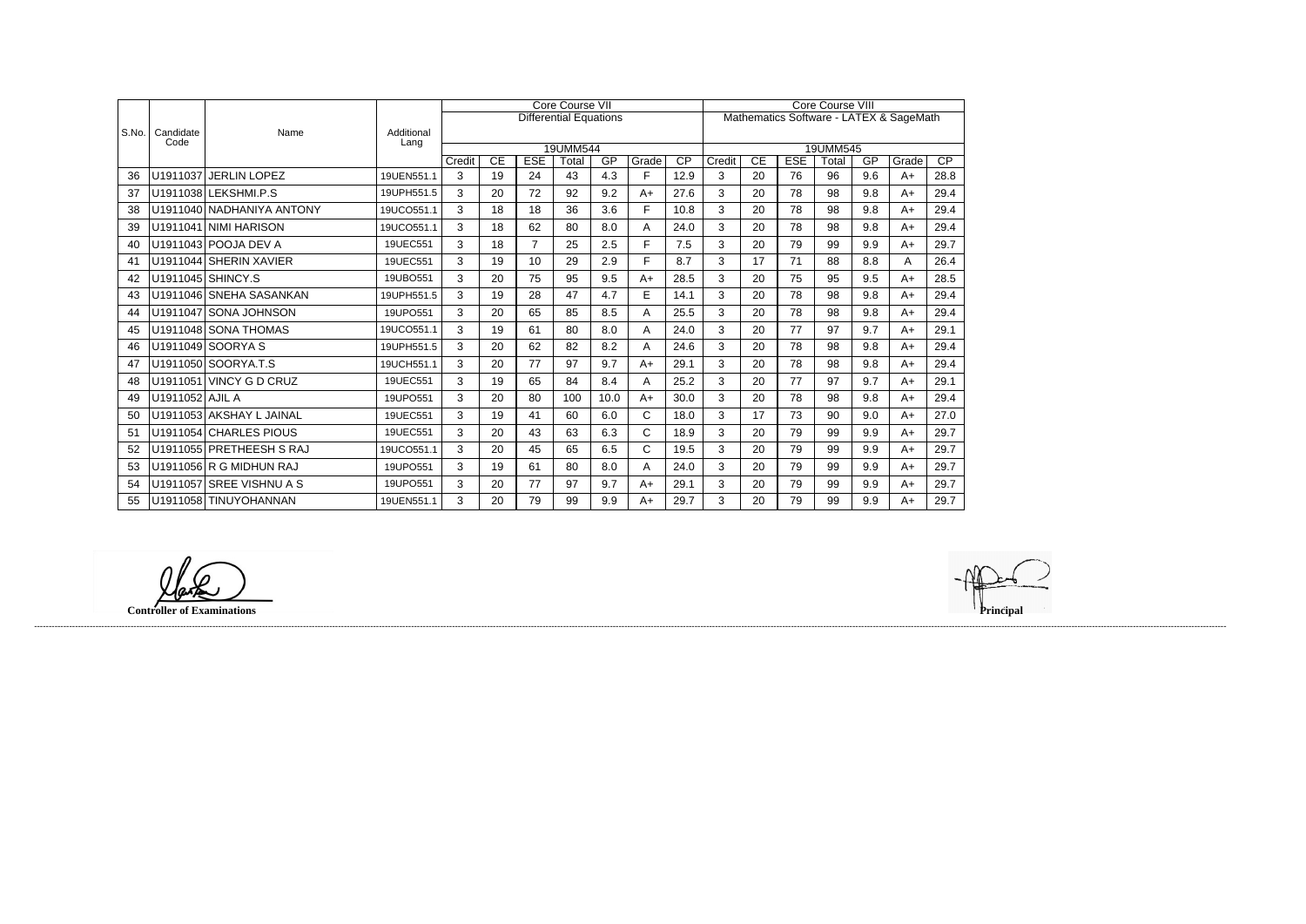|       |                   | Name                      |                    |        |    |                | <b>Core Course VII</b>        |      |              | <b>Core Course VIII</b> |        |                 |            |          |     |                                         |                 |
|-------|-------------------|---------------------------|--------------------|--------|----|----------------|-------------------------------|------|--------------|-------------------------|--------|-----------------|------------|----------|-----|-----------------------------------------|-----------------|
|       |                   |                           |                    |        |    |                | <b>Differential Equations</b> |      |              |                         |        |                 |            |          |     | Mathematics Software - LATEX & SageMath |                 |
| S.No. | Candidate<br>Code |                           | Additional<br>Lang |        |    |                |                               |      |              |                         |        |                 |            |          |     |                                         |                 |
|       |                   |                           |                    |        |    |                | 19UMM544                      |      |              |                         |        |                 |            | 19UMM545 |     |                                         |                 |
|       |                   |                           |                    | Credit | CE | <b>ESE</b>     | Total                         | GP   | Grade        | $\overline{CP}$         | Credit | $\overline{CE}$ | <b>ESE</b> | Total    | GP  | Grade                                   | $\overline{CP}$ |
| 36    | U1911037          | <b>JERLIN LOPEZ</b>       | 19UEN551.1         | 3      | 19 | 24             | 43                            | 4.3  | F            | 12.9                    | 3      | 20              | 76         | 96       | 9.6 | $A+$                                    | 28.8            |
| 37    |                   | U1911038 LEKSHMI.P.S      | 19UPH551.5         | 3      | 20 | 72             | 92                            | 9.2  | $A+$         | 27.6                    | 3      | 20              | 78         | 98       | 9.8 | $A+$                                    | 29.4            |
| 38    |                   | U1911040 NADHANIYA ANTONY | 19UCO551.1         | 3      | 18 | 18             | 36                            | 3.6  | F.           | 10.8                    | 3      | 20              | 78         | 98       | 9.8 | $A+$                                    | 29.4            |
| 39    |                   | U1911041 NIMI HARISON     | 19UCO551.1         | 3      | 18 | 62             | 80                            | 8.0  | A            | 24.0                    | 3      | 20              | 78         | 98       | 9.8 | $A+$                                    | 29.4            |
| 40    |                   | U1911043 POOJA DEV A      | 19UEC551           | 3      | 18 | $\overline{7}$ | 25                            | 2.5  | F.           | 7.5                     | 3      | 20              | 79         | 99       | 9.9 | $A+$                                    | 29.7            |
| 41    |                   | U1911044 SHERIN XAVIER    | 19UEC551           | 3      | 19 | 10             | 29                            | 2.9  | F.           | 8.7                     | 3      | 17              | 71         | 88       | 8.8 | Α                                       | 26.4            |
| 42    |                   | U1911045 SHINCY.S         | 19UBO551           | 3      | 20 | 75             | 95                            | 9.5  | $A+$         | 28.5                    | 3      | 20              | 75         | 95       | 9.5 | $A+$                                    | 28.5            |
| 43    |                   | U1911046 SNEHA SASANKAN   | 19UPH551.5         | 3      | 19 | 28             | 47                            | 4.7  | E            | 14.1                    | 3      | 20              | 78         | 98       | 9.8 | $A+$                                    | 29.4            |
| 44    |                   | U1911047 SONA JOHNSON     | 19UPO551           | 3      | 20 | 65             | 85                            | 8.5  | A            | 25.5                    | 3      | 20              | 78         | 98       | 9.8 | A+                                      | 29.4            |
| 45    |                   | U1911048 SONA THOMAS      | 19UCO551.1         | 3      | 19 | 61             | 80                            | 8.0  | A            | 24.0                    | 3      | 20              | 77         | 97       | 9.7 | $A+$                                    | 29.1            |
| 46    |                   | U1911049 SOORYA S         | 19UPH551.5         | 3      | 20 | 62             | 82                            | 8.2  | Α            | 24.6                    | 3      | 20              | 78         | 98       | 9.8 | $A+$                                    | 29.4            |
| 47    |                   | U1911050 SOORYA.T.S       | 19UCH551.1         | 3      | 20 | 77             | 97                            | 9.7  | $A+$         | 29.1                    | 3      | 20              | 78         | 98       | 9.8 | $A+$                                    | 29.4            |
| 48    |                   | U1911051 VINCY G D CRUZ   | 19UEC551           | 3      | 19 | 65             | 84                            | 8.4  | A            | 25.2                    | 3      | 20              | 77         | 97       | 9.7 | $A+$                                    | 29.1            |
| 49    | U1911052 AJIL A   |                           | 19UPO551           | 3      | 20 | 80             | 100                           | 10.0 | $A+$         | 30.0                    | 3      | 20              | 78         | 98       | 9.8 | $A+$                                    | 29.4            |
| 50    |                   | U1911053 AKSHAY L JAINAL  | 19UEC551           | 3      | 19 | 41             | 60                            | 6.0  | $\mathsf{C}$ | 18.0                    | 3      | 17              | 73         | 90       | 9.0 | $A+$                                    | 27.0            |
| 51    |                   | U1911054 CHARLES PIOUS    | 19UEC551           | 3      | 20 | 43             | 63                            | 6.3  | $\mathsf{C}$ | 18.9                    | 3      | 20              | 79         | 99       | 9.9 | $A+$                                    | 29.7            |
| 52    |                   | U1911055 PRETHEESH S RAJ  | 19UCO551.1         | 3      | 20 | 45             | 65                            | 6.5  | $\mathsf{C}$ | 19.5                    | 3      | 20              | 79         | 99       | 9.9 | $A+$                                    | 29.7            |
| 53    |                   | U1911056 R G MIDHUN RAJ   | 19UPO551           | 3      | 19 | 61             | 80                            | 8.0  | Α            | 24.0                    | 3      | 20              | 79         | 99       | 9.9 | $A+$                                    | 29.7            |
| 54    |                   | U1911057 SREE VISHNU A S  | 19UPO551           | 3      | 20 | 77             | 97                            | 9.7  | $A+$         | 29.1                    | 3      | 20              | 79         | 99       | 9.9 | $A+$                                    | 29.7            |
| 55    |                   | U1911058 TINUYOHANNAN     | 19UEN551.1         | 3      | 20 | 79             | 99                            | 9.9  | $A+$         | 29.7                    | 3      | 20              | 79         | 99       | 9.9 | $A+$                                    | 29.7            |

lark

**Controller of Examinations Principal**

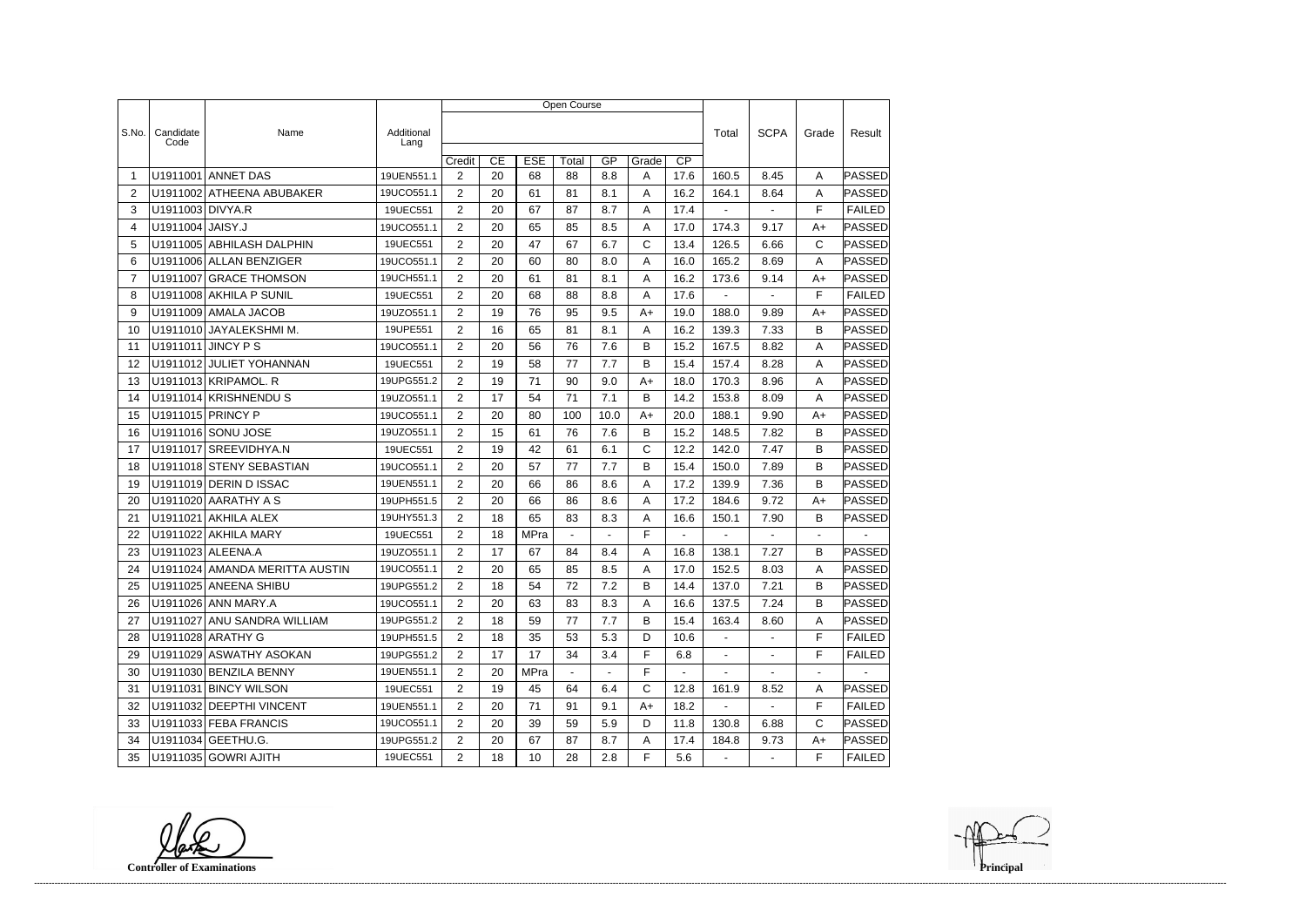|                 |                   |                                |                    | Open Course           |    |             |                |                |       |                 |                |                |                          |               |  |
|-----------------|-------------------|--------------------------------|--------------------|-----------------------|----|-------------|----------------|----------------|-------|-----------------|----------------|----------------|--------------------------|---------------|--|
|                 |                   |                                |                    |                       |    |             |                |                |       |                 |                |                |                          |               |  |
| S.No.           | Candidate<br>Code | Name                           | Additional<br>Lang |                       |    |             |                |                |       |                 | Total          | <b>SCPA</b>    | Grade                    | Result        |  |
|                 |                   |                                |                    | Credit                | CE | <b>ESE</b>  | Total          | GP             | Grade | $\overline{CP}$ |                |                |                          |               |  |
| -1              |                   | U1911001 ANNET DAS             | 19UEN551.1         | 2                     | 20 | 68          | 88             | 8.8            | A     | 17.6            | 160.5          | 8.45           | A                        | PASSED        |  |
| 2               |                   | U1911002 ATHEENA ABUBAKER      | 19UCO551.1         | $\overline{2}$        | 20 | 61          | 81             | 8.1            | A     | 16.2            | 164.1          | 8.64           | Α                        | <b>PASSED</b> |  |
| 3               | U1911003 DIVYA.R  |                                | 19UEC551           | 2                     | 20 | 67          | 87             | 8.7            | A     | 17.4            | $\blacksquare$ |                | F                        | <b>FAILED</b> |  |
| 4               | U1911004 JAISY.J  |                                | 19UCO551.1         | $\overline{2}$        | 20 | 65          | 85             | 8.5            | A     | 17.0            | 174.3          | 9.17           | $A+$                     | PASSED        |  |
| 5               |                   | U1911005 ABHILASH DALPHIN      | 19UEC551           | $\overline{2}$        | 20 | 47          | 67             | 6.7            | C     | 13.4            | 126.5          | 6.66           | C                        | PASSED        |  |
| 6               |                   | U1911006 ALLAN BENZIGER        | 19UCO551.1         | 2                     | 20 | 60          | 80             | 8.0            | Α     | 16.0            | 165.2          | 8.69           | A                        | PASSED        |  |
| 7               |                   | U1911007 GRACE THOMSON         | 19UCH551.1         | $\overline{2}$        | 20 | 61          | 81             | 8.1            | Α     | 16.2            | 173.6          | 9.14           | $A+$                     | <b>PASSED</b> |  |
| 8               |                   | U1911008 AKHILA P SUNIL        | 19UEC551           | $\overline{2}$        | 20 | 68          | 88             | 8.8            | Α     | 17.6            | $\blacksquare$ | $\blacksquare$ | F                        | <b>FAILED</b> |  |
| 9               |                   | U1911009 AMALA JACOB           | 19UZO551.1         | $\overline{2}$        | 19 | 76          | 95             | 9.5            | A+    | 19.0            | 188.0          | 9.89           | $A+$                     | PASSED        |  |
| 10              |                   | U1911010 JAYALEKSHMI M.        | 19UPE551           | $\overline{2}$        | 16 | 65          | 81             | 8.1            | A     | 16.2            | 139.3          | 7.33           | B                        | PASSED        |  |
| 11              |                   | <b>U1911011 JINCY PS</b>       | 19UCO551.1         | 2                     | 20 | 56          | 76             | 7.6            | B     | 15.2            | 167.5          | 8.82           | A                        | PASSED        |  |
| 12              |                   | U1911012 JULIET YOHANNAN       | 19UEC551           | $\overline{2}$        | 19 | 58          | 77             | 7.7            | B     | 15.4            | 157.4          | 8.28           | Α                        | PASSED        |  |
| 13              |                   | U1911013 KRIPAMOL. R           | 19UPG551.2         | 2                     | 19 | 71          | 90             | 9.0            | A+    | 18.0            | 170.3          | 8.96           | A                        | <b>PASSED</b> |  |
| 14              |                   | U1911014 KRISHNENDUS           | 19UZO551.1         | $\overline{2}$        | 17 | 54          | 71             | 7.1            | В     | 14.2            | 153.8          | 8.09           | A                        | PASSED        |  |
| 15              |                   | U1911015 PRINCY P              | 19UCO551.1         | $\overline{2}$        | 20 | 80          | 100            | 10.0           | $A+$  | 20.0            | 188.1          | 9.90           | $A+$                     | PASSED        |  |
| 16              |                   | U1911016 SONU JOSE             | 19UZO551.1         | 2                     | 15 | 61          | 76             | 7.6            | В     | 15.2            | 148.5          | 7.82           | B                        | PASSED        |  |
| 17              |                   | U1911017 SREEVIDHYA.N          | 19UEC551           | $\overline{2}$        | 19 | 42          | 61             | 6.1            | C     | 12.2            | 142.0          | 7.47           | B                        | <b>PASSED</b> |  |
| 18              |                   | U1911018 STENY SEBASTIAN       | 19UCO551.1         | $\overline{2}$        | 20 | 57          | 77             | 7.7            | B     | 15.4            | 150.0          | 7.89           | B                        | <b>PASSED</b> |  |
| 19              |                   | U1911019 DERIN D ISSAC         | 19UEN551.1         | $\overline{2}$        | 20 | 66          | 86             | 8.6            | Α     | 17.2            | 139.9          | 7.36           | B                        | PASSED        |  |
| 20              |                   | U1911020 AARATHY A S           | 19UPH551.5         | $\overline{2}$        | 20 | 66          | 86             | 8.6            | Α     | 17.2            | 184.6          | 9.72           | $A+$                     | PASSED        |  |
| 21              |                   | U1911021 AKHILA ALEX           | 19UHY551.3         | 2                     | 18 | 65          | 83             | 8.3            | A     | 16.6            | 150.1          | 7.90           | B                        | PASSED        |  |
| 22              |                   | U1911022 AKHILA MARY           | 19UEC551           | $\overline{2}$        | 18 | <b>MPra</b> |                |                | F     |                 | $\blacksquare$ | $\overline{a}$ | $\blacksquare$           |               |  |
| 23              |                   | U1911023 ALEENA.A              | 19UZO551.1         | 2                     | 17 | 67          | 84             | 8.4            | A     | 16.8            | 138.1          | 7.27           | B                        | <b>PASSED</b> |  |
| 24              |                   | U1911024 AMANDA MERITTA AUSTIN | 19UCO551.1         | $\overline{2}$        | 20 | 65          | 85             | 8.5            | A     | 17.0            | 152.5          | 8.03           | A                        | PASSED        |  |
| 25              |                   | U1911025 ANEENA SHIBU          | 19UPG551.2         | $\overline{2}$        | 18 | 54          | 72             | 7.2            | В     | 14.4            | 137.0          | 7.21           | B                        | PASSED        |  |
| 26              |                   | U1911026 ANN MARY.A            | 19UCO551.1         | $\overline{2}$        | 20 | 63          | 83             | 8.3            | A     | 16.6            | 137.5          | 7.24           | B                        | <b>PASSED</b> |  |
| 27              |                   | U1911027 ANU SANDRA WILLIAM    | 19UPG551.2         | $\overline{2}$        | 18 | 59          | 77             | 7.7            | B     | 15.4            | 163.4          | 8.60           | A                        | PASSED        |  |
| 28              |                   | U1911028 ARATHY G              | 19UPH551.5         | $\overline{2}$        | 18 | 35          | 53             | 5.3            | D     | 10.6            | $\sim$         | $\blacksquare$ | F                        | <b>FAILED</b> |  |
| 29              |                   | U1911029 ASWATHY ASOKAN        | 19UPG551.2         | $\overline{2}$        | 17 | 17          | 34             | 3.4            | F     | 6.8             | $\sim$         | $\blacksquare$ | F                        | <b>FAILED</b> |  |
| 30              |                   | U1911030 BENZILA BENNY         | 19UEN551.1         | $\mathbf{2}^{\prime}$ | 20 | <b>MPra</b> | $\blacksquare$ | $\blacksquare$ | F     | $\sim$          | $\sim$         | $\sim$         | $\overline{\phantom{a}}$ | $\sim$ $-$    |  |
| 31              |                   | U1911031 BINCY WILSON          | 19UEC551           | $\overline{2}$        | 19 | 45          | 64             | 6.4            | C     | 12.8            | 161.9          | 8.52           | A                        | PASSED        |  |
| 32 <sup>2</sup> |                   | U1911032 DEEPTHI VINCENT       | 19UEN551.1         | $\overline{2}$        | 20 | 71          | 91             | 9.1            | $A+$  | 18.2            | $\sim$         | $\omega$       | F                        | <b>FAILED</b> |  |
| 33              |                   | U1911033 FEBA FRANCIS          | 19UCO551.1         | $\overline{2}$        | 20 | 39          | 59             | 5.9            | D     | 11.8            | 130.8          | 6.88           | С                        | PASSED        |  |
| 34              |                   | U1911034 GEETHU.G.             | 19UPG551.2         | $\overline{2}$        | 20 | 67          | 87             | 8.7            | A     | 17.4            | 184.8          | 9.73           | $A+$                     | <b>PASSED</b> |  |
|                 |                   | 35   U1911035   GOWRI AJITH    | 19UEC551           | $2^{\circ}$           | 18 | 10          | 28             | 2.8            | F.    | 5.6             | $\blacksquare$ | $\sim$         | F.                       | FAILED        |  |

**Controller of Examinations**